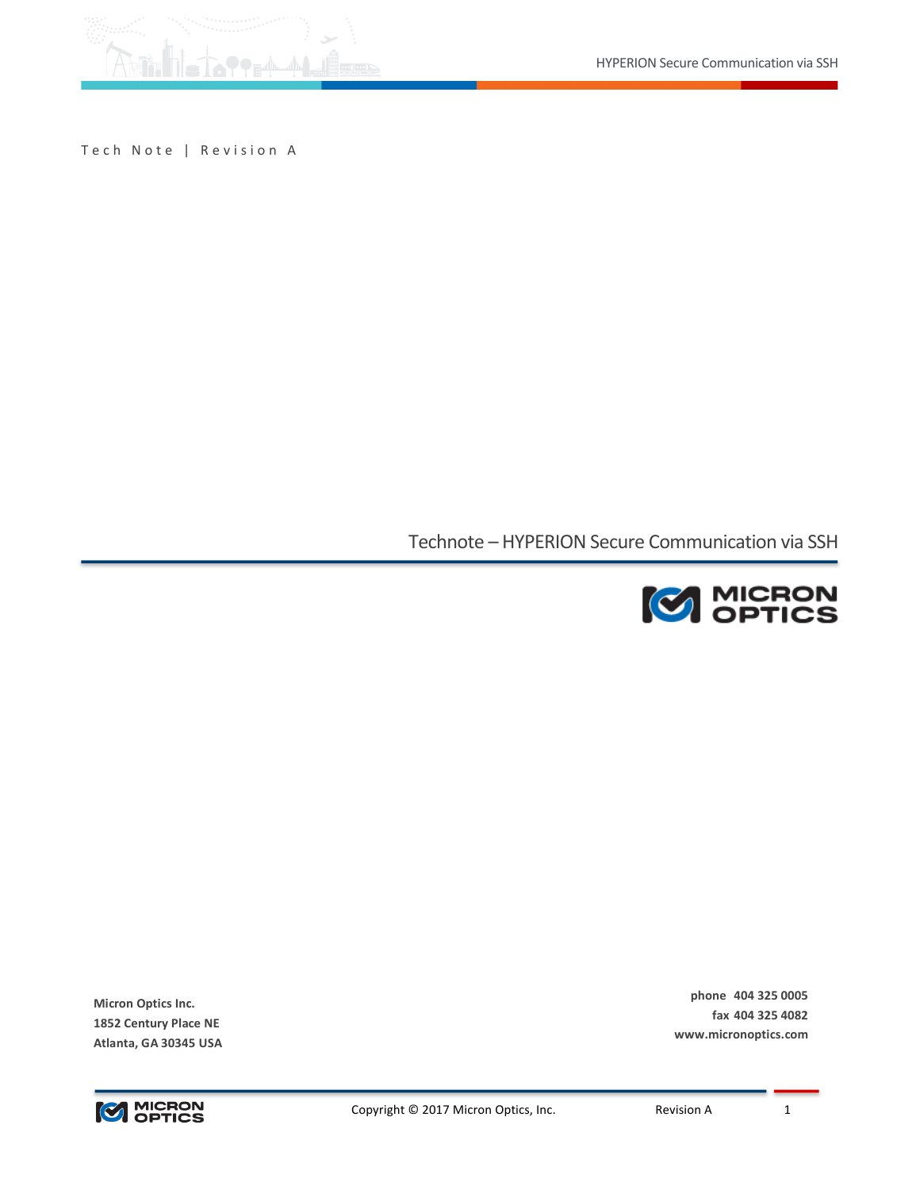

Tech Note | Revision A

Technote - HYPERION Secure Communication via SSH



**phone 404 325 0005 fax 404 325 4082 www.micronoptics.com**

**Micron Optics Inc. 1852 Century Place NE Atlanta, GA 30345 USA**

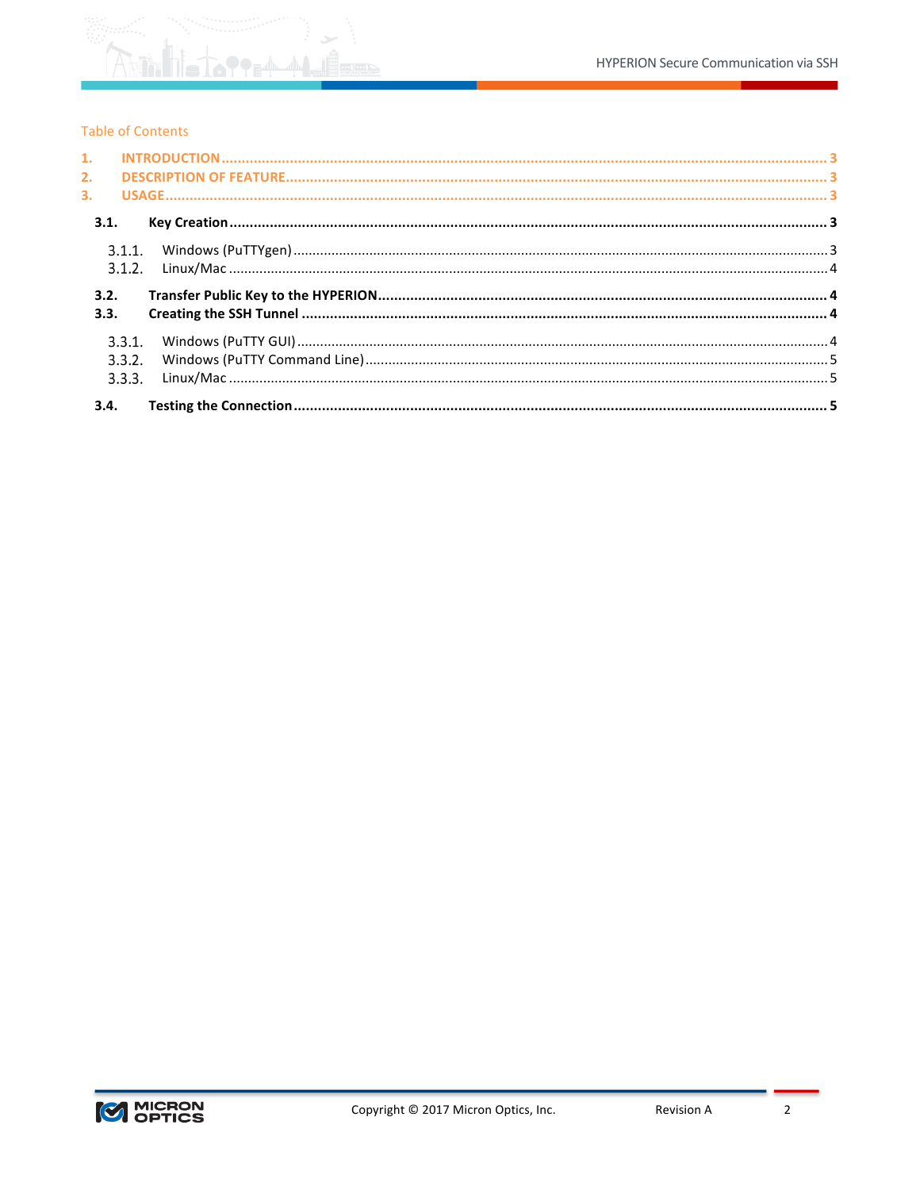

# **Table of Contents**

| 2.   |        |  |
|------|--------|--|
| 3.   |        |  |
| 3.1. |        |  |
|      |        |  |
|      | 3.1.2. |  |
| 3.2. |        |  |
| 3.3. |        |  |
|      | 3.3.1. |  |
|      | 3.3.2. |  |
|      | 3.3.3. |  |
| 3.4. |        |  |

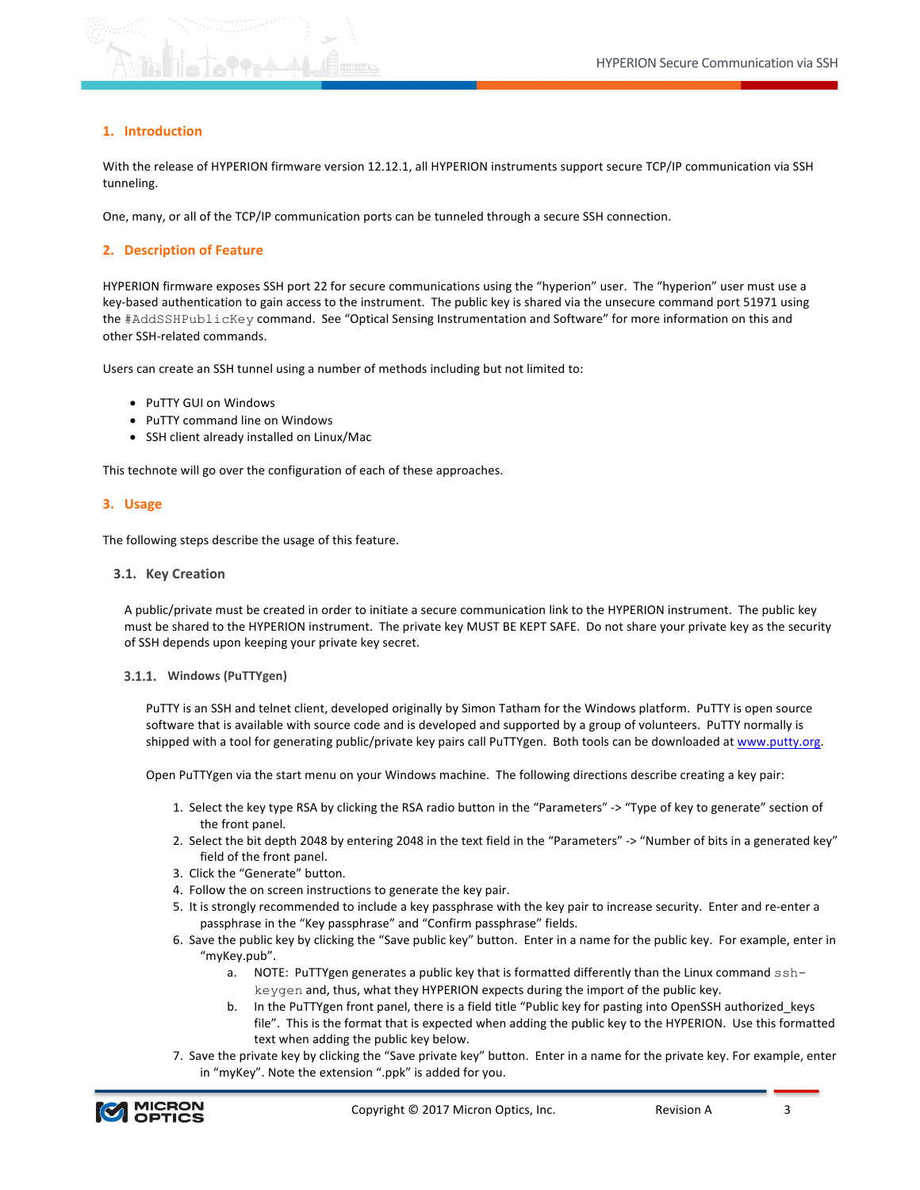### **1. Introduction**

With the release of HYPERION firmware version 12.12.1, all HYPERION instruments support secure TCP/IP communication via SSH tunneling.

One, many, or all of the TCP/IP communication ports can be tunneled through a secure SSH connection.

### **2. Description of Feature**

HYPERION firmware exposes SSH port 22 for secure communications using the "hyperion" user. The "hyperion" user must use a key-based authentication to gain access to the instrument. The public key is shared via the unsecure command port 51971 using the #AddSSHPublicKey command. See "Optical Sensing Instrumentation and Software" for more information on this and other SSH-related commands.

Users can create an SSH tunnel using a number of methods including but not limited to:

- PuTTY GUI on Windows
- PuTTY command line on Windows
- SSH client already installed on Linux/Mac

This technote will go over the configuration of each of these approaches.

### **3. Usage**

The following steps describe the usage of this feature.

#### **3.1. Key Creation**

A public/private must be created in order to initiate a secure communication link to the HYPERION instrument. The public key must be shared to the HYPERION instrument. The private key MUST BE KEPT SAFE. Do not share your private key as the security of SSH depends upon keeping your private key secret.

#### 3.1.1. Windows (PuTTYgen)

PuTTY is an SSH and telnet client, developed originally by Simon Tatham for the Windows platform. PuTTY is open source software that is available with source code and is developed and supported by a group of volunteers. PuTTY normally is shipped with a tool for generating public/private key pairs call PuTTYgen. Both tools can be downloaded at www.putty.org.

Open PuTTYgen via the start menu on your Windows machine. The following directions describe creating a key pair:

- 1. Select the key type RSA by clicking the RSA radio button in the "Parameters" -> "Type of key to generate" section of the front panel.
- 2. Select the bit depth 2048 by entering 2048 in the text field in the "Parameters" -> "Number of bits in a generated key" field of the front panel.
- 3. Click the "Generate" button.
- 4. Follow the on screen instructions to generate the key pair.
- 5. It is strongly recommended to include a key passphrase with the key pair to increase security. Enter and re-enter a passphrase in the "Key passphrase" and "Confirm passphrase" fields.
- 6. Save the public key by clicking the "Save public key" button. Enter in a name for the public key. For example, enter in "myKey.pub".
	- a. NOTE: PuTTYgen generates a public key that is formatted differently than the Linux command  $\text{ssh}$ keygen and, thus, what they HYPERION expects during the import of the public key.
	- b. In the PuTTYgen front panel, there is a field title "Public key for pasting into OpenSSH authorized\_keys file". This is the format that is expected when adding the public key to the HYPERION. Use this formatted text when adding the public key below.
- 7. Save the private key by clicking the "Save private key" button. Enter in a name for the private key. For example, enter in "myKey". Note the extension ".ppk" is added for you.

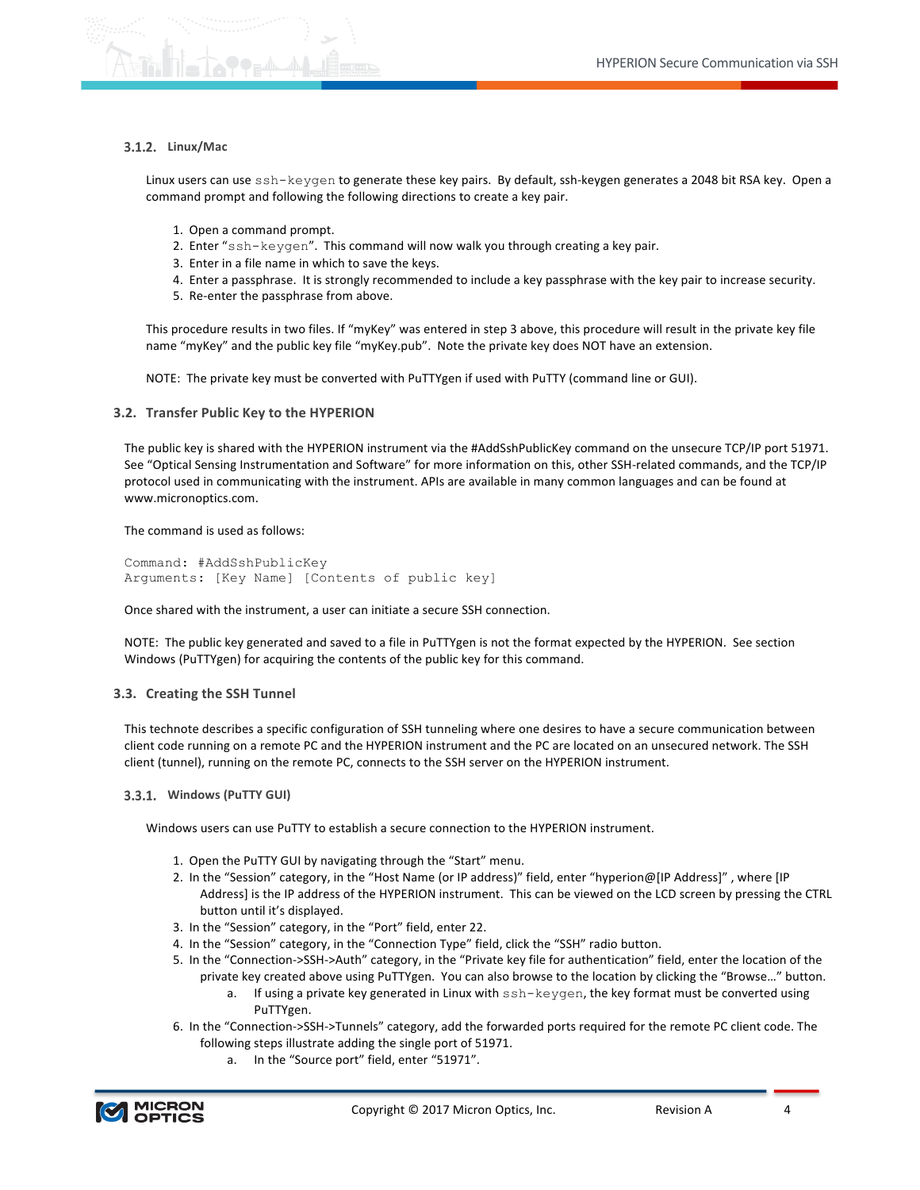

# **3.1.2. Linux/Mac**

Linux users can use ssh-keygen to generate these key pairs. By default, ssh-keygen generates a 2048 bit RSA key. Open a command prompt and following the following directions to create a key pair.

- 1. Open a command prompt.
- 2. Enter  $"ssh-keygen"$ . This command will now walk you through creating a key pair.
- 3. Enter in a file name in which to save the keys.
- 4. Enter a passphrase. It is strongly recommended to include a key passphrase with the key pair to increase security.
- 5. Re-enter the passphrase from above.

This procedure results in two files. If "myKey" was entered in step 3 above, this procedure will result in the private key file name "myKey" and the public key file "myKey.pub". Note the private key does NOT have an extension.

NOTE: The private key must be converted with PuTTYgen if used with PuTTY (command line or GUI).

## **3.2. Transfer Public Key to the HYPERION**

The public key is shared with the HYPERION instrument via the #AddSshPublicKey command on the unsecure TCP/IP port 51971. See "Optical Sensing Instrumentation and Software" for more information on this, other SSH-related commands, and the TCP/IP protocol used in communicating with the instrument. APIs are available in many common languages and can be found at www.micronoptics.com.

The command is used as follows:

```
Command: #AddSshPublicKey
Arguments: [Key Name] [Contents of public key]
```
Once shared with the instrument, a user can initiate a secure SSH connection.

NOTE: The public key generated and saved to a file in PuTTYgen is not the format expected by the HYPERION. See section Windows (PuTTYgen) for acquiring the contents of the public key for this command.

## **3.3. Creating the SSH Tunnel**

This technote describes a specific configuration of SSH tunneling where one desires to have a secure communication between client code running on a remote PC and the HYPERION instrument and the PC are located on an unsecured network. The SSH client (tunnel), running on the remote PC, connects to the SSH server on the HYPERION instrument.

## **3.3.1. Windows (PuTTY GUI)**

Windows users can use PuTTY to establish a secure connection to the HYPERION instrument.

- 1. Open the PuTTY GUI by navigating through the "Start" menu.
- 2. In the "Session" category, in the "Host Name (or IP address)" field, enter "hyperion@[IP Address]", where [IP Address] is the IP address of the HYPERION instrument. This can be viewed on the LCD screen by pressing the CTRL button until it's displayed.
- 3. In the "Session" category, in the "Port" field, enter 22.
- 4. In the "Session" category, in the "Connection Type" field, click the "SSH" radio button.
- 5. In the "Connection->SSH->Auth" category, in the "Private key file for authentication" field, enter the location of the private key created above using PuTTYgen. You can also browse to the location by clicking the "Browse..." button.
	- a. If using a private key generated in Linux with  $\text{ssh-keygen}$ , the key format must be converted using PuTTYgen.
- 6. In the "Connection->SSH->Tunnels" category, add the forwarded ports required for the remote PC client code. The following steps illustrate adding the single port of 51971.
	- a. In the "Source port" field, enter "51971".